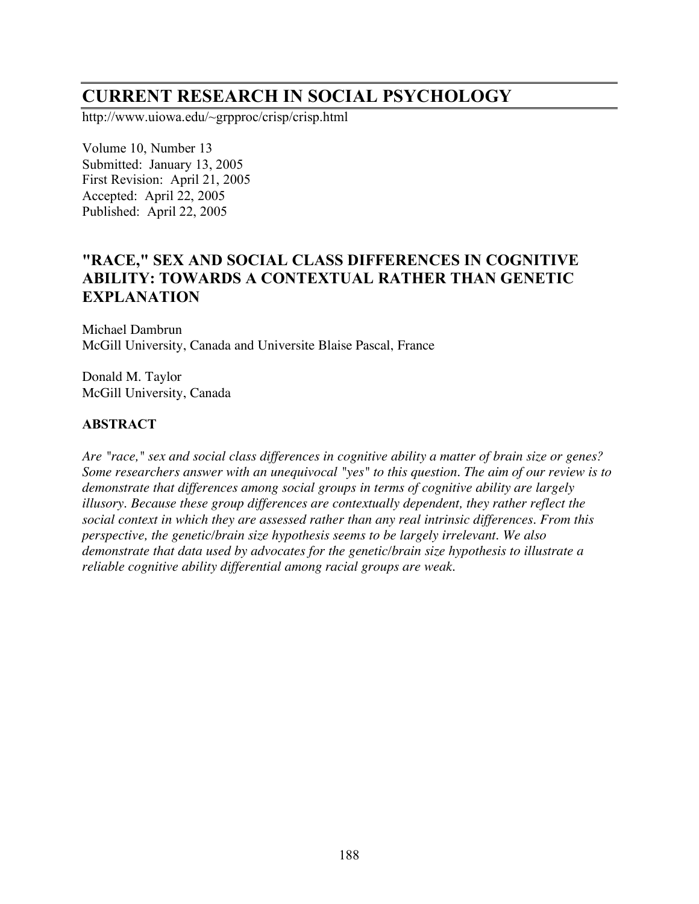# **CURRENT RESEARCH IN SOCIAL PSYCHOLOGY**

http://www.uiowa.edu/~grpproc/crisp/crisp.html

Volume 10, Number 13 Submitted: January 13, 2005 First Revision: April 21, 2005 Accepted: April 22, 2005 Published: April 22, 2005

# **"RACE, " SEX AND SOCIAL CLASS DIFFERENCES IN COGNITIVE ABILITY: TOWARDS A CONTEXTUAL RATHER THAN GENETIC EXPLANATION**

Michael Dambrun McGill University, Canada and Universite Blaise Pascal, France

Donald M. Taylor McGill University, Canada

# **ABSTRACT**

*Are "race," sex and social class differences in cognitive ability a matter of brain size or genes? Some researchers answer with an unequivocal "yes" to this question. The aim of our review is to demonstrate that differences among social groups in terms of cognitive ability are largely illusory. Because these group differences are contextually dependent, they rather reflect the social context in which they are assessed rather than any real intrinsic differences. From this perspective, the genetic/brain size hypothesis seems to be largely irrelevant. We also demonstrate that data used by advocates for the genetic/brain size hypothesis to illustrate a reliable cognitive ability differential among racial groups are weak.*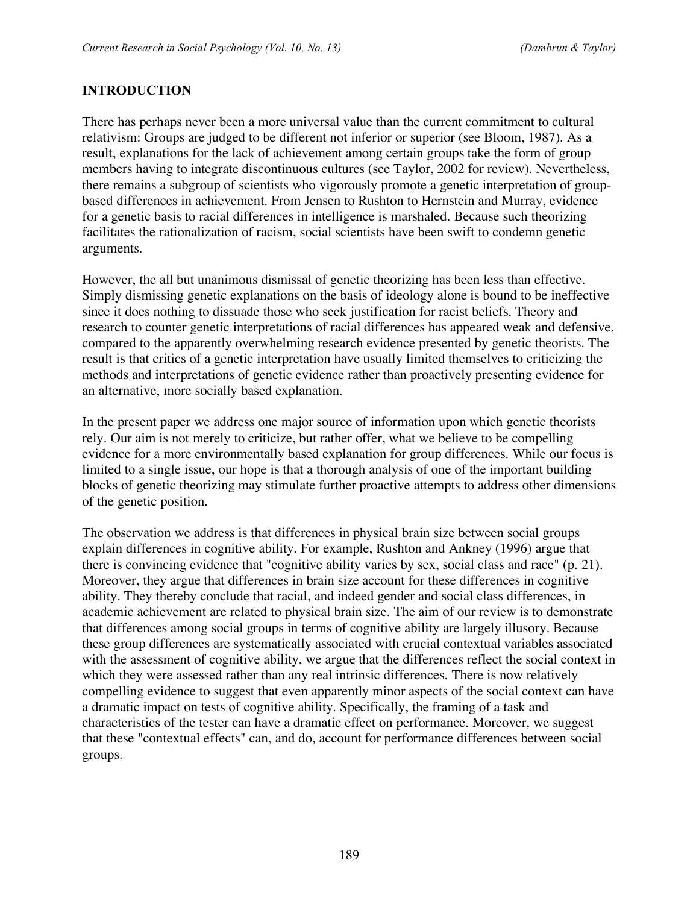# **INTRODUCTION**

There has perhaps never been a more universal value than the current commitment to cultural relativism: Groups are judged to be different not inferior or superior (see Bloom, 1987). As a result, explanations for the lack of achievement among certain groups take the form of group members having to integrate discontinuous cultures (see Taylor, 2002 for review). Nevertheless, there remains a subgroup of scientists who vigorously promote a genetic interpretation of groupbased differences in achievement. From Jensen to Rushton to Hernstein and Murray, evidence for a genetic basis to racial differences in intelligence is marshaled. Because such theorizing facilitates the rationalization of racism, social scientists have been swift to condemn genetic arguments.

However, the all but unanimous dismissal of genetic theorizing has been less than effective. Simply dismissing genetic explanations on the basis of ideology alone is bound to be ineffective since it does nothing to dissuade those who seek justification for racist beliefs. Theory and research to counter genetic interpretations of racial differences has appeared weak and defensive, compared to the apparently overwhelming research evidence presented by genetic theorists. The result is that critics of a genetic interpretation have usually limited themselves to criticizing the methods and interpretations of genetic evidence rather than proactively presenting evidence for an alternative, more socially based explanation.

In the present paper we address one major source of information upon which genetic theorists rely. Our aim is not merely to criticize, but rather offer, what we believe to be compelling evidence for a more environmentally based explanation for group differences. While our focus is limited to a single issue, our hope is that a thorough analysis of one of the important building blocks of genetic theorizing may stimulate further proactive attempts to address other dimensions of the genetic position.

The observation we address is that differences in physical brain size between social groups explain differences in cognitive ability. For example, Rushton and Ankney (1996) argue that there is convincing evidence that "cognitive ability varies by sex, social class and race" (p. 21). Moreover, they argue that differences in brain size account for these differences in cognitive ability. They thereby conclude that racial, and indeed gender and social class differences, in academic achievement are related to physical brain size. The aim of our review is to demonstrate that differences among social groups in terms of cognitive ability are largely illusory. Because these group differences are systematically associated with crucial contextual variables associated with the assessment of cognitive ability, we argue that the differences reflect the social context in which they were assessed rather than any real intrinsic differences. There is now relatively compelling evidence to suggest that even apparently minor aspects of the social context can have a dramatic impact on tests of cognitive ability. Specifically, the framing of a task and characteristics of the tester can have a dramatic effect on performance. Moreover, we suggest that these "contextual effects" can, and do, account for performance differences between social groups.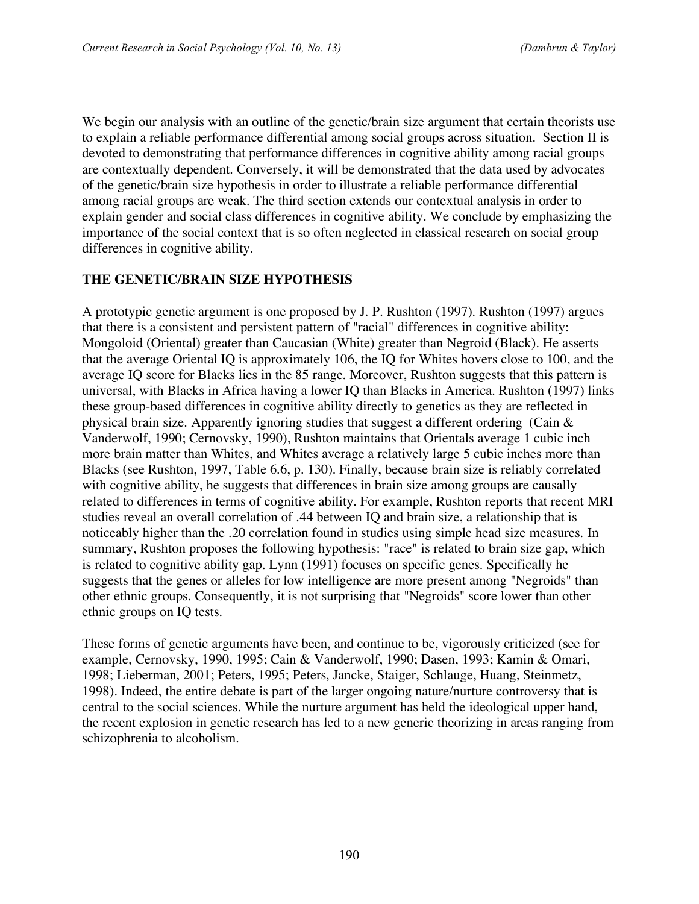We begin our analysis with an outline of the genetic/brain size argument that certain theorists use to explain a reliable performance differential among social groups across situation. Section II is devoted to demonstrating that performance differences in cognitive ability among racial groups are contextually dependent. Conversely, it will be demonstrated that the data used by advocates of the genetic/brain size hypothesis in order to illustrate a reliable performance differential among racial groups are weak. The third section extends our contextual analysis in order to explain gender and social class differences in cognitive ability. We conclude by emphasizing the importance of the social context that is so often neglected in classical research on social group differences in cognitive ability.

#### **THE GENETIC/BRAIN SIZE HYPOTHESIS**

A prototypic genetic argument is one proposed by J. P. Rushton (1997). Rushton (1997) argues that there is a consistent and persistent pattern of "racial" differences in cognitive ability: Mongoloid (Oriental) greater than Caucasian (White) greater than Negroid (Black). He asserts that the average Oriental IQ is approximately 106, the IQ for Whites hovers close to 100, and the average IQ score for Blacks lies in the 85 range. Moreover, Rushton suggests that this pattern is universal, with Blacks in Africa having a lower IQ than Blacks in America. Rushton (1997) links these group-based differences in cognitive ability directly to genetics as they are reflected in physical brain size. Apparently ignoring studies that suggest a different ordering (Cain & Vanderwolf, 1990; Cernovsky, 1990), Rushton maintains that Orientals average 1 cubic inch more brain matter than Whites, and Whites average a relatively large 5 cubic inches more than Blacks (see Rushton, 1997, Table 6.6, p. 130). Finally, because brain size is reliably correlated with cognitive ability, he suggests that differences in brain size among groups are causally related to differences in terms of cognitive ability. For example, Rushton reports that recent MRI studies reveal an overall correlation of .44 between IQ and brain size, a relationship that is noticeably higher than the .20 correlation found in studies using simple head size measures. In summary, Rushton proposes the following hypothesis: "race" is related to brain size gap, which is related to cognitive ability gap. Lynn (1991) focuses on specific genes. Specifically he suggests that the genes or alleles for low intelligence are more present among "Negroids" than other ethnic groups. Consequently, it is not surprising that "Negroids" score lower than other ethnic groups on IQ tests.

These forms of genetic arguments have been, and continue to be, vigorously criticized (see for example, Cernovsky, 1990, 1995; Cain & Vanderwolf, 1990; Dasen, 1993; Kamin & Omari, 1998; Lieberman, 2001; Peters, 1995; Peters, Jancke, Staiger, Schlauge, Huang, Steinmetz, 1998). Indeed, the entire debate is part of the larger ongoing nature/nurture controversy that is central to the social sciences. While the nurture argument has held the ideological upper hand, the recent explosion in genetic research has led to a new generic theorizing in areas ranging from schizophrenia to alcoholism.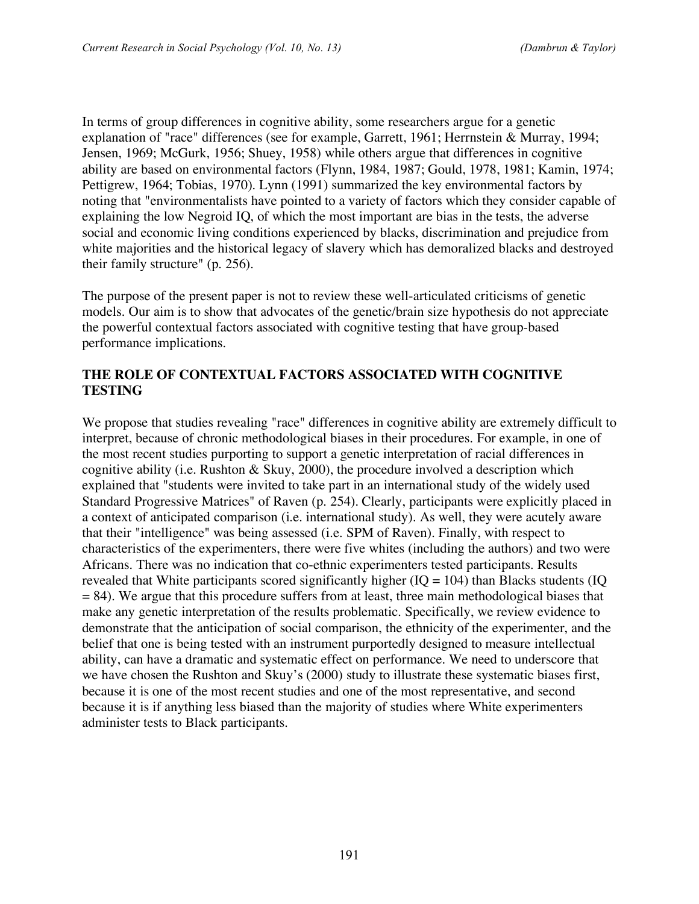In terms of group differences in cognitive ability, some researchers argue for a genetic explanation of "race" differences (see for example, Garrett, 1961; Herrnstein & Murray, 1994; Jensen, 1969; McGurk, 1956; Shuey, 1958) while others argue that differences in cognitive ability are based on environmental factors (Flynn, 1984, 1987; Gould, 1978, 1981; Kamin, 1974; Pettigrew, 1964; Tobias, 1970). Lynn (1991) summarized the key environmental factors by noting that "environmentalists have pointed to a variety of factors which they consider capable of explaining the low Negroid IQ, of which the most important are bias in the tests, the adverse social and economic living conditions experienced by blacks, discrimination and prejudice from white majorities and the historical legacy of slavery which has demoralized blacks and destroyed their family structure" (p. 256).

The purpose of the present paper is not to review these well-articulated criticisms of genetic models. Our aim is to show that advocates of the genetic/brain size hypothesis do not appreciate the powerful contextual factors associated with cognitive testing that have group-based performance implications.

#### **THE ROLE OF CONTEXTUAL FACTORS ASSOCIATED WITH COGNITIVE TESTING**

We propose that studies revealing "race" differences in cognitive ability are extremely difficult to interpret, because of chronic methodological biases in their procedures. For example, in one of the most recent studies purporting to support a genetic interpretation of racial differences in cognitive ability (i.e. Rushton & Skuy, 2000), the procedure involved a description which explained that "students were invited to take part in an international study of the widely used Standard Progressive Matrices" of Raven (p. 254). Clearly, participants were explicitly placed in a context of anticipated comparison (i.e. international study). As well, they were acutely aware that their "intelligence" was being assessed (i.e. SPM of Raven). Finally, with respect to characteristics of the experimenters, there were five whites (including the authors) and two were Africans. There was no indication that co-ethnic experimenters tested participants. Results revealed that White participants scored significantly higher  $(IQ = 104)$  than Blacks students  $(IQ$  $= 84$ ). We argue that this procedure suffers from at least, three main methodological biases that make any genetic interpretation of the results problematic. Specifically, we review evidence to demonstrate that the anticipation of social comparison, the ethnicity of the experimenter, and the belief that one is being tested with an instrument purportedly designed to measure intellectual ability, can have a dramatic and systematic effect on performance. We need to underscore that we have chosen the Rushton and Skuy's (2000) study to illustrate these systematic biases first, because it is one of the most recent studies and one of the most representative, and second because it is if anything less biased than the majority of studies where White experimenters administer tests to Black participants.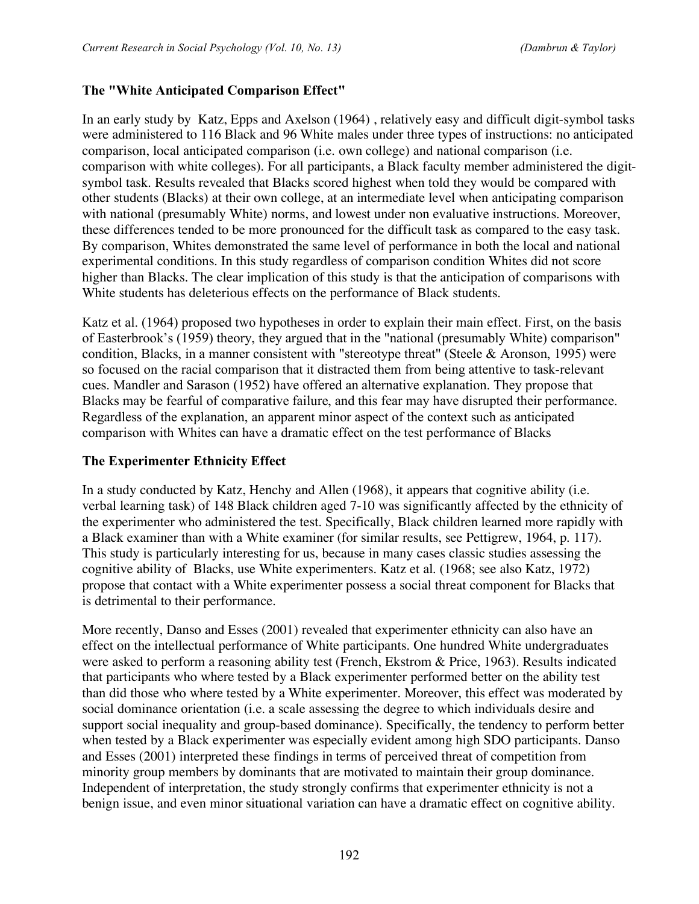### **The "White Anticipated Comparison Effect"**

In an early study by Katz, Epps and Axelson (1964) , relatively easy and difficult digit-symbol tasks were administered to 116 Black and 96 White males under three types of instructions: no anticipated comparison, local anticipated comparison (i.e. own college) and national comparison (i.e. comparison with white colleges). For all participants, a Black faculty member administered the digitsymbol task. Results revealed that Blacks scored highest when told they would be compared with other students (Blacks) at their own college, at an intermediate level when anticipating comparison with national (presumably White) norms, and lowest under non evaluative instructions. Moreover, these differences tended to be more pronounced for the difficult task as compared to the easy task. By comparison, Whites demonstrated the same level of performance in both the local and national experimental conditions. In this study regardless of comparison condition Whites did not score higher than Blacks. The clear implication of this study is that the anticipation of comparisons with White students has deleterious effects on the performance of Black students.

Katz et al. (1964) proposed two hypotheses in order to explain their main effect. First, on the basis of Easterbrook's (1959) theory, they argued that in the "national (presumably White) comparison" condition, Blacks, in a manner consistent with "stereotype threat" (Steele & Aronson, 1995) were so focused on the racial comparison that it distracted them from being attentive to task-relevant cues. Mandler and Sarason (1952) have offered an alternative explanation. They propose that Blacks may be fearful of comparative failure, and this fear may have disrupted their performance. Regardless of the explanation, an apparent minor aspect of the context such as anticipated comparison with Whites can have a dramatic effect on the test performance of Blacks

#### **The Experimenter Ethnicity Effect**

In a study conducted by Katz, Henchy and Allen (1968), it appears that cognitive ability (i.e. verbal learning task) of 148 Black children aged 7-10 was significantly affected by the ethnicity of the experimenter who administered the test. Specifically, Black children learned more rapidly with a Black examiner than with a White examiner (for similar results, see Pettigrew, 1964, p. 117). This study is particularly interesting for us, because in many cases classic studies assessing the cognitive ability of Blacks, use White experimenters. Katz et al. (1968; see also Katz, 1972) propose that contact with a White experimenter possess a social threat component for Blacks that is detrimental to their performance.

More recently, Danso and Esses (2001) revealed that experimenter ethnicity can also have an effect on the intellectual performance of White participants. One hundred White undergraduates were asked to perform a reasoning ability test (French, Ekstrom & Price, 1963). Results indicated that participants who where tested by a Black experimenter performed better on the ability test than did those who where tested by a White experimenter. Moreover, this effect was moderated by social dominance orientation (i.e. a scale assessing the degree to which individuals desire and support social inequality and group-based dominance). Specifically, the tendency to perform better when tested by a Black experimenter was especially evident among high SDO participants. Danso and Esses (2001) interpreted these findings in terms of perceived threat of competition from minority group members by dominants that are motivated to maintain their group dominance. Independent of interpretation, the study strongly confirms that experimenter ethnicity is not a benign issue, and even minor situational variation can have a dramatic effect on cognitive ability.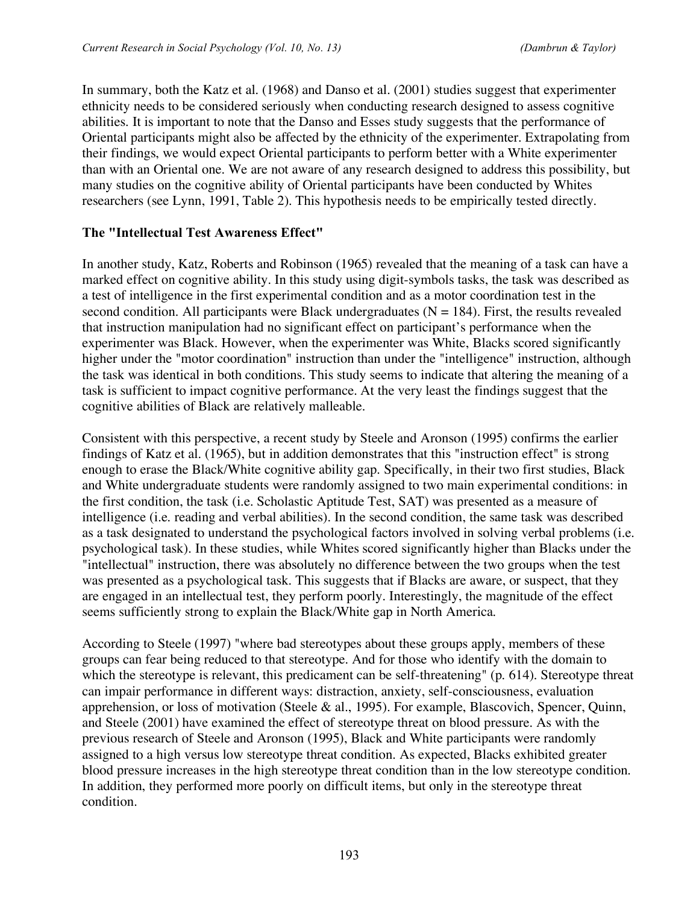In summary, both the Katz et al. (1968) and Danso et al. (2001) studies suggest that experimenter ethnicity needs to be considered seriously when conducting research designed to assess cognitive abilities. It is important to note that the Danso and Esses study suggests that the performance of Oriental participants might also be affected by the ethnicity of the experimenter. Extrapolating from their findings, we would expect Oriental participants to perform better with a White experimenter than with an Oriental one. We are not aware of any research designed to address this possibility, but many studies on the cognitive ability of Oriental participants have been conducted by Whites researchers (see Lynn, 1991, Table 2). This hypothesis needs to be empirically tested directly.

#### **The "Intellectual Test Awareness Effect"**

In another study, Katz, Roberts and Robinson (1965) revealed that the meaning of a task can have a marked effect on cognitive ability. In this study using digit-symbols tasks, the task was described as a test of intelligence in the first experimental condition and as a motor coordination test in the second condition. All participants were Black undergraduates  $(N = 184)$ . First, the results revealed that instruction manipulation had no significant effect on participant's performance when the experimenter was Black. However, when the experimenter was White, Blacks scored significantly higher under the "motor coordination" instruction than under the "intelligence" instruction, although the task was identical in both conditions. This study seems to indicate that altering the meaning of a task is sufficient to impact cognitive performance. At the very least the findings suggest that the cognitive abilities of Black are relatively malleable.

Consistent with this perspective, a recent study by Steele and Aronson (1995) confirms the earlier findings of Katz et al. (1965), but in addition demonstrates that this "instruction effect" is strong enough to erase the Black/White cognitive ability gap. Specifically, in their two first studies, Black and White undergraduate students were randomly assigned to two main experimental conditions: in the first condition, the task (i.e. Scholastic Aptitude Test, SAT) was presented as a measure of intelligence (i.e. reading and verbal abilities). In the second condition, the same task was described as a task designated to understand the psychological factors involved in solving verbal problems (i.e. psychological task). In these studies, while Whites scored significantly higher than Blacks under the "intellectual" instruction, there was absolutely no difference between the two groups when the test was presented as a psychological task. This suggests that if Blacks are aware, or suspect, that they are engaged in an intellectual test, they perform poorly. Interestingly, the magnitude of the effect seems sufficiently strong to explain the Black/White gap in North America.

According to Steele (1997) "where bad stereotypes about these groups apply, members of these groups can fear being reduced to that stereotype. And for those who identify with the domain to which the stereotype is relevant, this predicament can be self-threatening" (p. 614). Stereotype threat can impair performance in different ways: distraction, anxiety, self-consciousness, evaluation apprehension, or loss of motivation (Steele & al., 1995). For example, Blascovich, Spencer, Quinn, and Steele (2001) have examined the effect of stereotype threat on blood pressure. As with the previous research of Steele and Aronson (1995), Black and White participants were randomly assigned to a high versus low stereotype threat condition. As expected, Blacks exhibited greater blood pressure increases in the high stereotype threat condition than in the low stereotype condition. In addition, they performed more poorly on difficult items, but only in the stereotype threat condition.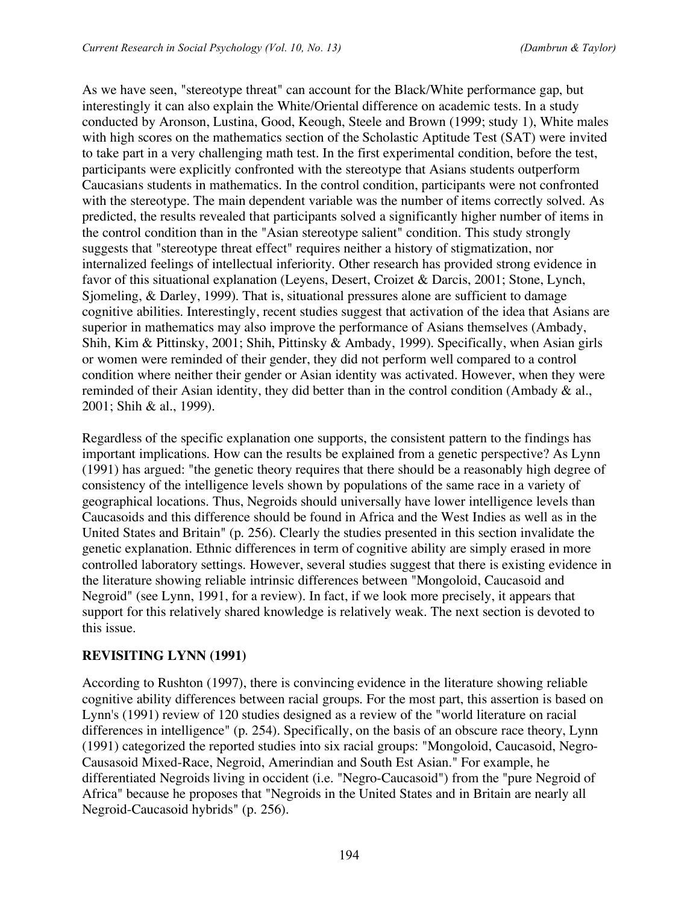As we have seen, "stereotype threat" can account for the Black/White performance gap, but interestingly it can also explain the White/Oriental difference on academic tests. In a study conducted by Aronson, Lustina, Good, Keough, Steele and Brown (1999; study 1), White males with high scores on the mathematics section of the Scholastic Aptitude Test (SAT) were invited to take part in a very challenging math test. In the first experimental condition, before the test, participants were explicitly confronted with the stereotype that Asians students outperform Caucasians students in mathematics. In the control condition, participants were not confronted with the stereotype. The main dependent variable was the number of items correctly solved. As predicted, the results revealed that participants solved a significantly higher number of items in the control condition than in the "Asian stereotype salient" condition. This study strongly suggests that "stereotype threat effect" requires neither a history of stigmatization, nor internalized feelings of intellectual inferiority. Other research has provided strong evidence in favor of this situational explanation (Leyens, Desert, Croizet & Darcis, 2001; Stone, Lynch, Sjomeling, & Darley, 1999). That is, situational pressures alone are sufficient to damage cognitive abilities. Interestingly, recent studies suggest that activation of the idea that Asians are superior in mathematics may also improve the performance of Asians themselves (Ambady, Shih, Kim & Pittinsky, 2001; Shih, Pittinsky & Ambady, 1999). Specifically, when Asian girls or women were reminded of their gender, they did not perform well compared to a control condition where neither their gender or Asian identity was activated. However, when they were reminded of their Asian identity, they did better than in the control condition (Ambady & al., 2001; Shih & al., 1999).

Regardless of the specific explanation one supports, the consistent pattern to the findings has important implications. How can the results be explained from a genetic perspective? As Lynn (1991) has argued: "the genetic theory requires that there should be a reasonably high degree of consistency of the intelligence levels shown by populations of the same race in a variety of geographical locations. Thus, Negroids should universally have lower intelligence levels than Caucasoids and this difference should be found in Africa and the West Indies as well as in the United States and Britain" (p. 256). Clearly the studies presented in this section invalidate the genetic explanation. Ethnic differences in term of cognitive ability are simply erased in more controlled laboratory settings. However, several studies suggest that there is existing evidence in the literature showing reliable intrinsic differences between "Mongoloid, Caucasoid and Negroid" (see Lynn, 1991, for a review). In fact, if we look more precisely, it appears that support for this relatively shared knowledge is relatively weak. The next section is devoted to this issue.

# **REVISITING LYNN (1991)**

According to Rushton (1997), there is convincing evidence in the literature showing reliable cognitive ability differences between racial groups. For the most part, this assertion is based on Lynn's (1991) review of 120 studies designed as a review of the "world literature on racial differences in intelligence" (p. 254). Specifically, on the basis of an obscure race theory, Lynn (1991) categorized the reported studies into six racial groups: "Mongoloid, Caucasoid, Negro-Causasoid Mixed-Race, Negroid, Amerindian and South Est Asian." For example, he differentiated Negroids living in occident (i.e. "Negro-Caucasoid") from the "pure Negroid of Africa" because he proposes that "Negroids in the United States and in Britain are nearly all Negroid-Caucasoid hybrids" (p. 256).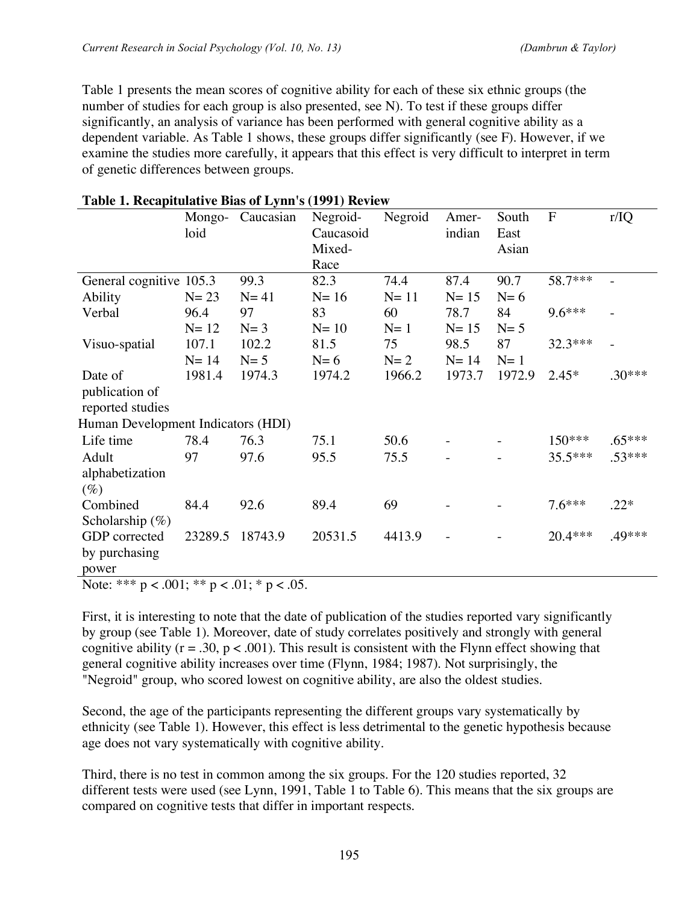Table 1 presents the mean scores of cognitive ability for each of these six ethnic groups (the number of studies for each group is also presented, see N). To test if these groups differ significantly, an analysis of variance has been performed with general cognitive ability as a dependent variable. As Table 1 shows, these groups differ significantly (see F). However, if we examine the studies more carefully, it appears that this effect is very difficult to interpret in term of genetic differences between groups.

|                                      | Mongo-<br>loid | Caucasian | Negroid-<br>Caucasoid<br>Mixed-<br>Race | Negroid | Amer-<br>indian | South<br>East<br>Asian | $\mathbf{F}$ | r/IQ     |
|--------------------------------------|----------------|-----------|-----------------------------------------|---------|-----------------|------------------------|--------------|----------|
| General cognitive $105.\overline{3}$ |                | 99.3      | 82.3                                    | 74.4    | 87.4            | 90.7                   | 58.7***      |          |
| Ability                              | $N=23$         | $N=41$    | $N=16$                                  | $N=11$  | $N=15$          | $N=6$                  |              |          |
| Verbal                               | 96.4           | 97        | 83                                      | 60      | 78.7            | 84                     | $9.6***$     |          |
|                                      | $N=12$         | $N=3$     | $N=10$                                  | $N=1$   | $N=15$          | $N=5$                  |              |          |
| Visuo-spatial                        | 107.1          | 102.2     | 81.5                                    | 75      | 98.5            | 87                     | 32.3***      |          |
|                                      | $N=14$         | $N=5$     | $N=6$                                   | $N=2$   | $N=14$          | $N=1$                  |              |          |
| Date of                              | 1981.4         | 1974.3    | 1974.2                                  | 1966.2  | 1973.7          | 1972.9                 | $2.45*$      | $.30***$ |
| publication of                       |                |           |                                         |         |                 |                        |              |          |
| reported studies                     |                |           |                                         |         |                 |                        |              |          |
| Human Development Indicators (HDI)   |                |           |                                         |         |                 |                        |              |          |
| Life time                            | 78.4           | 76.3      | 75.1                                    | 50.6    |                 |                        | 150***       | $.65***$ |
| Adult                                | 97             | 97.6      | 95.5                                    | 75.5    |                 |                        | $35.5***$    | $.53***$ |
| alphabetization                      |                |           |                                         |         |                 |                        |              |          |
| $(\%)$                               |                |           |                                         |         |                 |                        |              |          |
| Combined                             | 84.4           | 92.6      | 89.4                                    | 69      |                 |                        | $7.6***$     | $.22*$   |
| Scholarship $(\%)$                   |                |           |                                         |         |                 |                        |              |          |
| GDP corrected                        | 23289.5        | 18743.9   | 20531.5                                 | 4413.9  |                 |                        | $20.4***$    | .49***   |
| by purchasing                        |                |           |                                         |         |                 |                        |              |          |
| power                                |                |           |                                         |         |                 |                        |              |          |

#### **Table 1. Recapitulative Bias of Lynn's (1991) Review**

Note: \*\*\*  $p < .001$ ; \*\*  $p < .01$ ; \*  $p < .05$ .

First, it is interesting to note that the date of publication of the studies reported vary significantly by group (see Table 1). Moreover, date of study correlates positively and strongly with general cognitive ability ( $r = .30$ ,  $p < .001$ ). This result is consistent with the Flynn effect showing that general cognitive ability increases over time (Flynn, 1984; 1987). Not surprisingly, the "Negroid" group, who scored lowest on cognitive ability, are also the oldest studies.

Second, the age of the participants representing the different groups vary systematically by ethnicity (see Table 1). However, this effect is less detrimental to the genetic hypothesis because age does not vary systematically with cognitive ability.

Third, there is no test in common among the six groups. For the 120 studies reported, 32 different tests were used (see Lynn, 1991, Table 1 to Table 6). This means that the six groups are compared on cognitive tests that differ in important respects.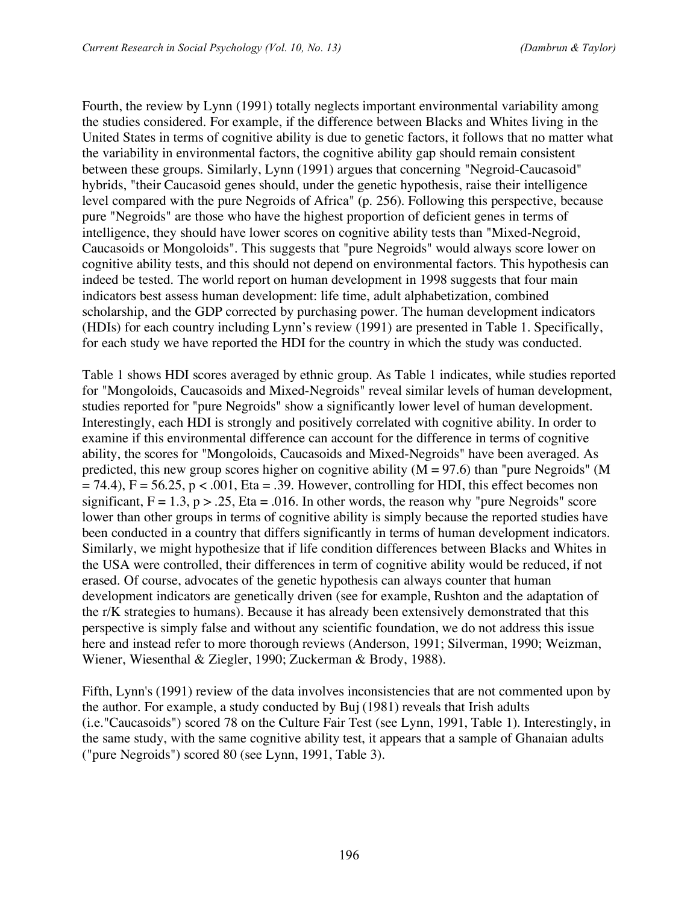Fourth, the review by Lynn (1991) totally neglects important environmental variability among the studies considered. For example, if the difference between Blacks and Whites living in the United States in terms of cognitive ability is due to genetic factors, it follows that no matter what the variability in environmental factors, the cognitive ability gap should remain consistent between these groups. Similarly, Lynn (1991) argues that concerning "Negroid-Caucasoid" hybrids, "their Caucasoid genes should, under the genetic hypothesis, raise their intelligence level compared with the pure Negroids of Africa" (p. 256). Following this perspective, because pure "Negroids" are those who have the highest proportion of deficient genes in terms of intelligence, they should have lower scores on cognitive ability tests than "Mixed-Negroid, Caucasoids or Mongoloids". This suggests that "pure Negroids" would always score lower on cognitive ability tests, and this should not depend on environmental factors. This hypothesis can indeed be tested. The world report on human development in 1998 suggests that four main indicators best assess human development: life time, adult alphabetization, combined scholarship, and the GDP corrected by purchasing power. The human development indicators (HDIs) for each country including Lynn's review (1991) are presented in Table 1. Specifically, for each study we have reported the HDI for the country in which the study was conducted.

Table 1 shows HDI scores averaged by ethnic group. As Table 1 indicates, while studies reported for "Mongoloids, Caucasoids and Mixed-Negroids" reveal similar levels of human development, studies reported for "pure Negroids" show a significantly lower level of human development. Interestingly, each HDI is strongly and positively correlated with cognitive ability. In order to examine if this environmental difference can account for the difference in terms of cognitive ability, the scores for "Mongoloids, Caucasoids and Mixed-Negroids" have been averaged. As predicted, this new group scores higher on cognitive ability ( $M = 97.6$ ) than "pure Negroids" (M  $= 74.4$ ), F = 56.25, p < .001, Eta = .39. However, controlling for HDI, this effect becomes non significant,  $F = 1.3$ ,  $p > 0.25$ , Eta = 0.016. In other words, the reason why "pure Negroids" score lower than other groups in terms of cognitive ability is simply because the reported studies have been conducted in a country that differs significantly in terms of human development indicators. Similarly, we might hypothesize that if life condition differences between Blacks and Whites in the USA were controlled, their differences in term of cognitive ability would be reduced, if not erased. Of course, advocates of the genetic hypothesis can always counter that human development indicators are genetically driven (see for example, Rushton and the adaptation of the r/K strategies to humans). Because it has already been extensively demonstrated that this perspective is simply false and without any scientific foundation, we do not address this issue here and instead refer to more thorough reviews (Anderson, 1991; Silverman, 1990; Weizman, Wiener, Wiesenthal & Ziegler, 1990; Zuckerman & Brody, 1988).

Fifth, Lynn's (1991) review of the data involves inconsistencies that are not commented upon by the author. For example, a study conducted by Buj (1981) reveals that Irish adults (i.e."Caucasoids") scored 78 on the Culture Fair Test (see Lynn, 1991, Table 1). Interestingly, in the same study, with the same cognitive ability test, it appears that a sample of Ghanaian adults ("pure Negroids") scored 80 (see Lynn, 1991, Table 3).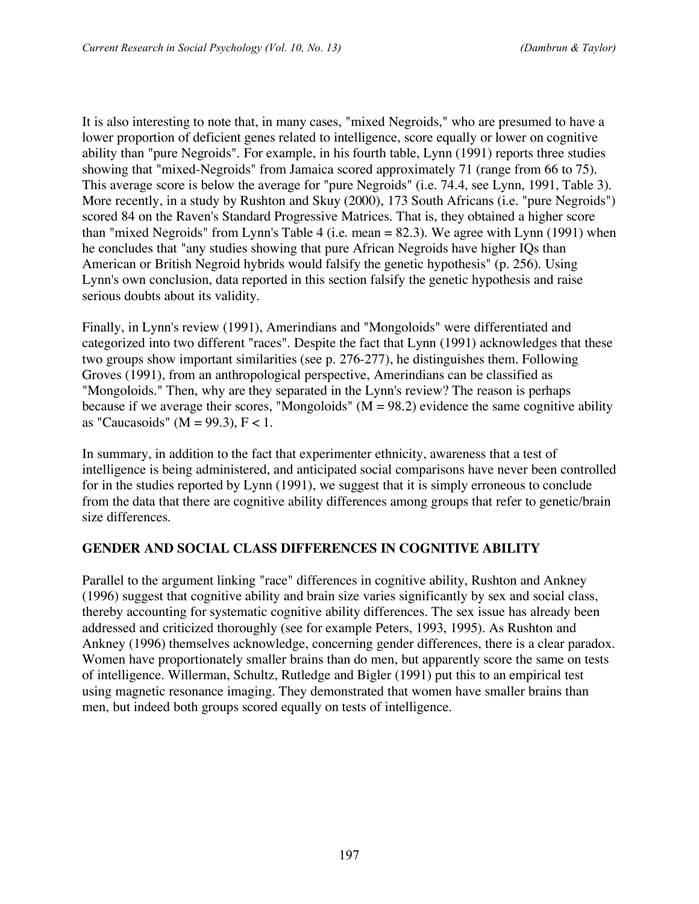It is also interesting to note that, in many cases, "mixed Negroids," who are presumed to have a lower proportion of deficient genes related to intelligence, score equally or lower on cognitive ability than "pure Negroids". For example, in his fourth table, Lynn (1991) reports three studies showing that "mixed-Negroids" from Jamaica scored approximately 71 (range from 66 to 75). This average score is below the average for "pure Negroids" (i.e. 74.4, see Lynn, 1991, Table 3). More recently, in a study by Rushton and Skuy (2000), 173 South Africans (i.e. "pure Negroids") scored 84 on the Raven's Standard Progressive Matrices. That is, they obtained a higher score than "mixed Negroids" from Lynn's Table 4 (i.e. mean = 82.3). We agree with Lynn (1991) when he concludes that "any studies showing that pure African Negroids have higher IQs than American or British Negroid hybrids would falsify the genetic hypothesis" (p. 256). Using Lynn's own conclusion, data reported in this section falsify the genetic hypothesis and raise serious doubts about its validity.

Finally, in Lynn's review (1991), Amerindians and "Mongoloids" were differentiated and categorized into two different "races". Despite the fact that Lynn (1991) acknowledges that these two groups show important similarities (see p. 276-277), he distinguishes them. Following Groves (1991), from an anthropological perspective, Amerindians can be classified as "Mongoloids." Then, why are they separated in the Lynn's review? The reason is perhaps because if we average their scores, "Mongoloids" ( $M = 98.2$ ) evidence the same cognitive ability as "Caucasoids" ( $M = 99.3$ ),  $F < 1$ .

In summary, in addition to the fact that experimenter ethnicity, awareness that a test of intelligence is being administered, and anticipated social comparisons have never been controlled for in the studies reported by Lynn (1991), we suggest that it is simply erroneous to conclude from the data that there are cognitive ability differences among groups that refer to genetic/brain size differences.

#### **GENDER AND SOCIAL CLASS DIFFERENCES IN COGNITIVE ABILITY**

Parallel to the argument linking "race" differences in cognitive ability, Rushton and Ankney (1996) suggest that cognitive ability and brain size varies significantly by sex and social class, thereby accounting for systematic cognitive ability differences. The sex issue has already been addressed and criticized thoroughly (see for example Peters, 1993, 1995). As Rushton and Ankney (1996) themselves acknowledge, concerning gender differences, there is a clear paradox. Women have proportionately smaller brains than do men, but apparently score the same on tests of intelligence. Willerman, Schultz, Rutledge and Bigler (1991) put this to an empirical test using magnetic resonance imaging. They demonstrated that women have smaller brains than men, but indeed both groups scored equally on tests of intelligence.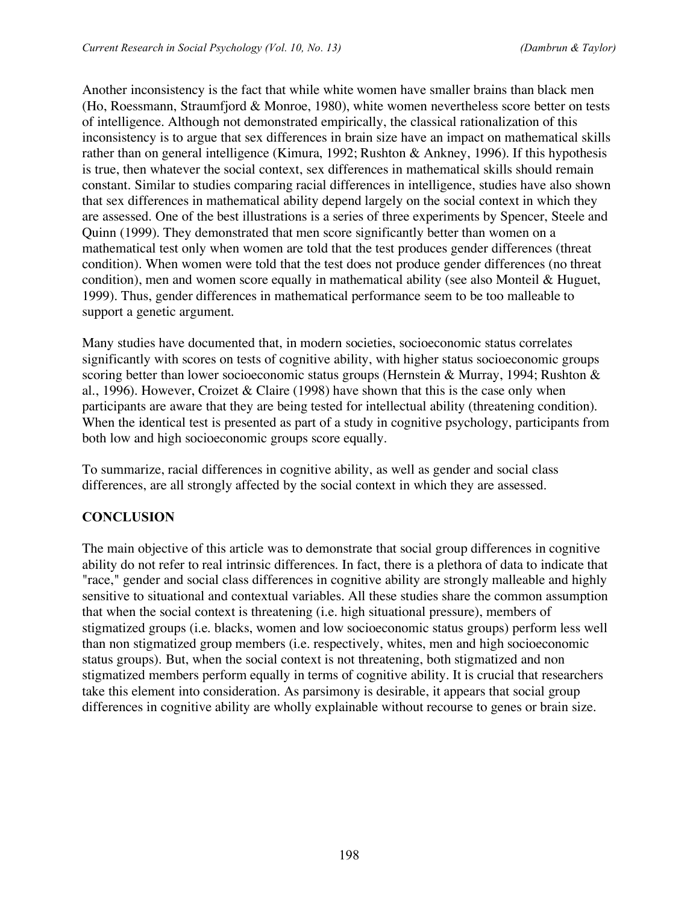Another inconsistency is the fact that while white women have smaller brains than black men (Ho, Roessmann, Straumfjord & Monroe, 1980), white women nevertheless score better on tests of intelligence. Although not demonstrated empirically, the classical rationalization of this inconsistency is to argue that sex differences in brain size have an impact on mathematical skills rather than on general intelligence (Kimura, 1992; Rushton & Ankney, 1996). If this hypothesis is true, then whatever the social context, sex differences in mathematical skills should remain constant. Similar to studies comparing racial differences in intelligence, studies have also shown that sex differences in mathematical ability depend largely on the social context in which they are assessed. One of the best illustrations is a series of three experiments by Spencer, Steele and Quinn (1999). They demonstrated that men score significantly better than women on a mathematical test only when women are told that the test produces gender differences (threat condition). When women were told that the test does not produce gender differences (no threat condition), men and women score equally in mathematical ability (see also Monteil & Huguet, 1999). Thus, gender differences in mathematical performance seem to be too malleable to support a genetic argument.

Many studies have documented that, in modern societies, socioeconomic status correlates significantly with scores on tests of cognitive ability, with higher status socioeconomic groups scoring better than lower socioeconomic status groups (Hernstein & Murray, 1994; Rushton & al., 1996). However, Croizet & Claire (1998) have shown that this is the case only when participants are aware that they are being tested for intellectual ability (threatening condition). When the identical test is presented as part of a study in cognitive psychology, participants from both low and high socioeconomic groups score equally.

To summarize, racial differences in cognitive ability, as well as gender and social class differences, are all strongly affected by the social context in which they are assessed.

# **CONCLUSION**

The main objective of this article was to demonstrate that social group differences in cognitive ability do not refer to real intrinsic differences. In fact, there is a plethora of data to indicate that "race," gender and social class differences in cognitive ability are strongly malleable and highly sensitive to situational and contextual variables. All these studies share the common assumption that when the social context is threatening (i.e. high situational pressure), members of stigmatized groups (i.e. blacks, women and low socioeconomic status groups) perform less well than non stigmatized group members (i.e. respectively, whites, men and high socioeconomic status groups). But, when the social context is not threatening, both stigmatized and non stigmatized members perform equally in terms of cognitive ability. It is crucial that researchers take this element into consideration. As parsimony is desirable, it appears that social group differences in cognitive ability are wholly explainable without recourse to genes or brain size.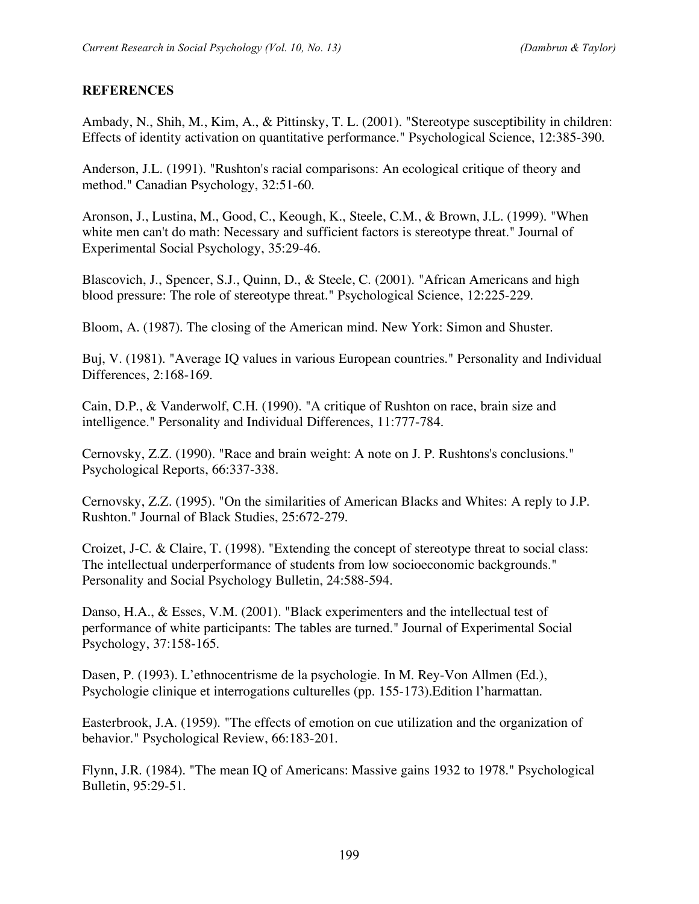## **REFERENCES**

Ambady, N., Shih, M., Kim, A., & Pittinsky, T. L. (2001). "Stereotype susceptibility in children: Effects of identity activation on quantitative performance." Psychological Science, 12:385-390.

Anderson, J.L. (1991). "Rushton's racial comparisons: An ecological critique of theory and method." Canadian Psychology, 32:51-60.

Aronson, J., Lustina, M., Good, C., Keough, K., Steele, C.M., & Brown, J.L. (1999). "When white men can't do math: Necessary and sufficient factors is stereotype threat." Journal of Experimental Social Psychology, 35:29-46.

Blascovich, J., Spencer, S.J., Quinn, D., & Steele, C. (2001). "African Americans and high blood pressure: The role of stereotype threat." Psychological Science, 12:225-229.

Bloom, A. (1987). The closing of the American mind. New York: Simon and Shuster.

Buj, V. (1981). "Average IQ values in various European countries." Personality and Individual Differences, 2:168-169.

Cain, D.P., & Vanderwolf, C.H. (1990). "A critique of Rushton on race, brain size and intelligence." Personality and Individual Differences, 11:777-784.

Cernovsky, Z.Z. (1990). "Race and brain weight: A note on J. P. Rushtons's conclusions." Psychological Reports, 66:337-338.

Cernovsky, Z.Z. (1995). "On the similarities of American Blacks and Whites: A reply to J.P. Rushton." Journal of Black Studies, 25:672-279.

Croizet, J-C. & Claire, T. (1998). "Extending the concept of stereotype threat to social class: The intellectual underperformance of students from low socioeconomic backgrounds." Personality and Social Psychology Bulletin, 24:588-594.

Danso, H.A., & Esses, V.M. (2001). "Black experimenters and the intellectual test of performance of white participants: The tables are turned." Journal of Experimental Social Psychology, 37:158-165.

Dasen, P. (1993). L'ethnocentrisme de la psychologie. In M. Rey-Von Allmen (Ed.), Psychologie clinique et interrogations culturelles (pp. 155-173).Edition l'harmattan.

Easterbrook, J.A. (1959). "The effects of emotion on cue utilization and the organization of behavior." Psychological Review, 66:183-201.

Flynn, J.R. (1984). "The mean IQ of Americans: Massive gains 1932 to 1978." Psychological Bulletin, 95:29-51.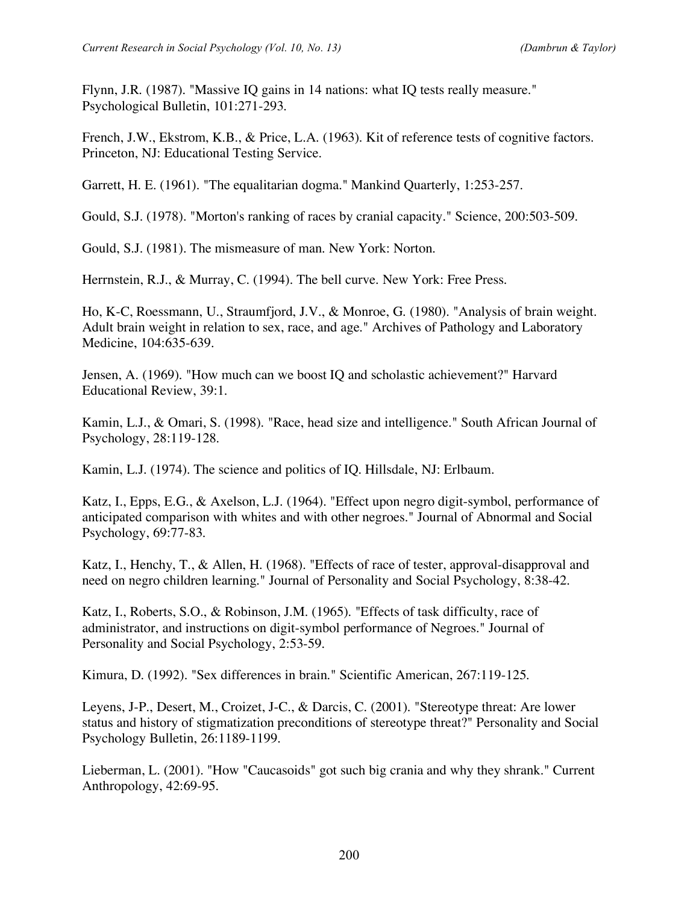Flynn, J.R. (1987). "Massive IQ gains in 14 nations: what IQ tests really measure." Psychological Bulletin, 101:271-293.

French, J.W., Ekstrom, K.B., & Price, L.A. (1963). Kit of reference tests of cognitive factors. Princeton, NJ: Educational Testing Service.

Garrett, H. E. (1961). "The equalitarian dogma." Mankind Quarterly, 1:253-257.

Gould, S.J. (1978). "Morton's ranking of races by cranial capacity." Science, 200:503-509.

Gould, S.J. (1981). The mismeasure of man. New York: Norton.

Herrnstein, R.J., & Murray, C. (1994). The bell curve. New York: Free Press.

Ho, K-C, Roessmann, U., Straumfjord, J.V., & Monroe, G. (1980). "Analysis of brain weight. Adult brain weight in relation to sex, race, and age." Archives of Pathology and Laboratory Medicine, 104:635-639.

Jensen, A. (1969). "How much can we boost IQ and scholastic achievement?" Harvard Educational Review, 39:1.

Kamin, L.J., & Omari, S. (1998). "Race, head size and intelligence." South African Journal of Psychology, 28:119-128.

Kamin, L.J. (1974). The science and politics of IQ. Hillsdale, NJ: Erlbaum.

Katz, I., Epps, E.G., & Axelson, L.J. (1964). "Effect upon negro digit-symbol, performance of anticipated comparison with whites and with other negroes." Journal of Abnormal and Social Psychology, 69:77-83.

Katz, I., Henchy, T., & Allen, H. (1968). "Effects of race of tester, approval-disapproval and need on negro children learning." Journal of Personality and Social Psychology, 8:38-42.

Katz, I., Roberts, S.O., & Robinson, J.M. (1965). "Effects of task difficulty, race of administrator, and instructions on digit-symbol performance of Negroes." Journal of Personality and Social Psychology, 2:53-59.

Kimura, D. (1992). "Sex differences in brain." Scientific American, 267:119-125.

Leyens, J-P., Desert, M., Croizet, J-C., & Darcis, C. (2001). "Stereotype threat: Are lower status and history of stigmatization preconditions of stereotype threat?" Personality and Social Psychology Bulletin, 26:1189-1199.

Lieberman, L. (2001). "How "Caucasoids" got such big crania and why they shrank." Current Anthropology, 42:69-95.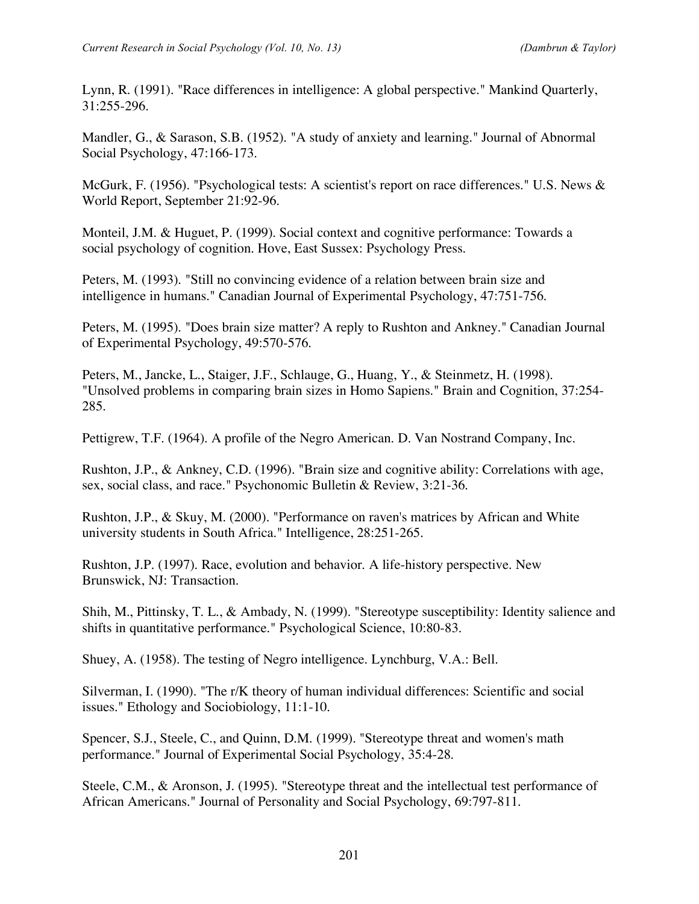Lynn, R. (1991). "Race differences in intelligence: A global perspective." Mankind Quarterly, 31:255-296.

Mandler, G., & Sarason, S.B. (1952). "A study of anxiety and learning." Journal of Abnormal Social Psychology, 47:166-173.

McGurk, F. (1956). "Psychological tests: A scientist's report on race differences." U.S. News & World Report, September 21:92-96.

Monteil, J.M. & Huguet, P. (1999). Social context and cognitive performance: Towards a social psychology of cognition. Hove, East Sussex: Psychology Press.

Peters, M. (1993). "Still no convincing evidence of a relation between brain size and intelligence in humans." Canadian Journal of Experimental Psychology, 47:751-756.

Peters, M. (1995). "Does brain size matter? A reply to Rushton and Ankney." Canadian Journal of Experimental Psychology, 49:570-576.

Peters, M., Jancke, L., Staiger, J.F., Schlauge, G., Huang, Y., & Steinmetz, H. (1998). "Unsolved problems in comparing brain sizes in Homo Sapiens." Brain and Cognition, 37:254- 285.

Pettigrew, T.F. (1964). A profile of the Negro American. D. Van Nostrand Company, Inc.

Rushton, J.P., & Ankney, C.D. (1996). "Brain size and cognitive ability: Correlations with age, sex, social class, and race." Psychonomic Bulletin & Review, 3:21-36.

Rushton, J.P., & Skuy, M. (2000). "Performance on raven's matrices by African and White university students in South Africa." Intelligence, 28:251-265.

Rushton, J.P. (1997). Race, evolution and behavior. A life-history perspective. New Brunswick, NJ: Transaction.

Shih, M., Pittinsky, T. L., & Ambady, N. (1999). "Stereotype susceptibility: Identity salience and shifts in quantitative performance." Psychological Science, 10:80-83.

Shuey, A. (1958). The testing of Negro intelligence. Lynchburg, V.A.: Bell.

Silverman, I. (1990). "The r/K theory of human individual differences: Scientific and social issues." Ethology and Sociobiology, 11:1-10.

Spencer, S.J., Steele, C., and Quinn, D.M. (1999). "Stereotype threat and women's math performance." Journal of Experimental Social Psychology, 35:4-28.

Steele, C.M., & Aronson, J. (1995). "Stereotype threat and the intellectual test performance of African Americans." Journal of Personality and Social Psychology, 69:797-811.